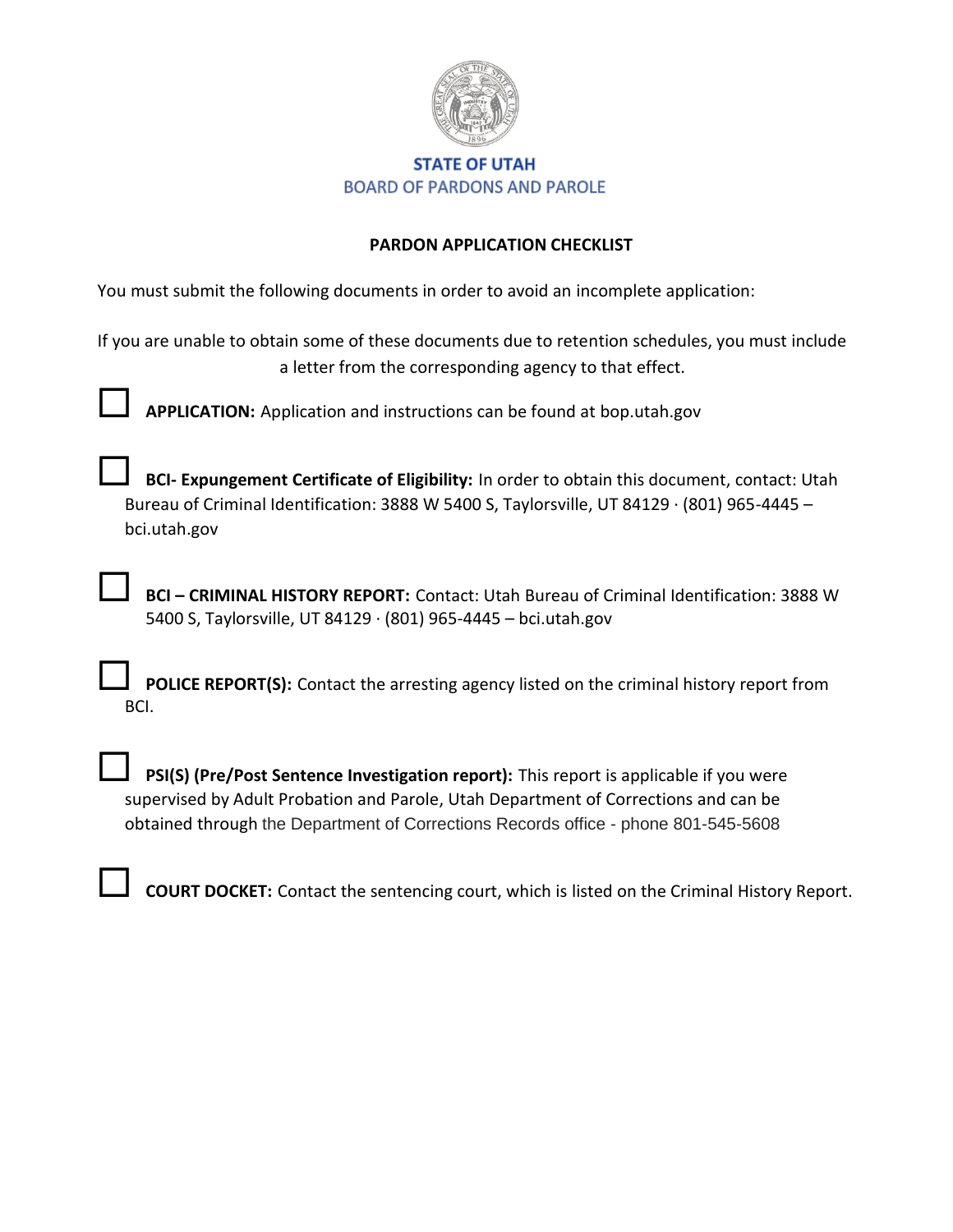

#### **STATE OF UTAH BOARD OF PARDONS AND PAROLE**

#### **PARDON APPLICATION CHECKLIST**

You must submit the following documents in order to avoid an incomplete application:

If you are unable to obtain some of these documents due to retention schedules, you must include a letter from the corresponding agency to that effect.

**APPLICATION:** Application and instructions can be found at bop.utah.gov

 **BCI- Expungement Certificate of Eligibility:** In order to obtain this document, contact: Utah Bureau of Criminal Identification: 3888 W 5400 S, Taylorsville, UT 84129 · (801) 965-4445 – bci.utah.gov

 **BCI – CRIMINAL HISTORY REPORT:** Contact: Utah Bureau of Criminal Identification: 3888 W 5400 S, Taylorsville, UT 84129 · (801) 965-4445 – bci.utah.gov

 **POLICE REPORT(S):** Contact the arresting agency listed on the criminal history report from BCI.

 **PSI(S) (Pre/Post Sentence Investigation report):** This report is applicable if you were supervised by Adult Probation and Parole, Utah Department of Corrections and can be obtained through the Department of Corrections Records office - phone 801-545-5608

**COURT DOCKET:** Contact the sentencing court, which is listed on the Criminal History Report.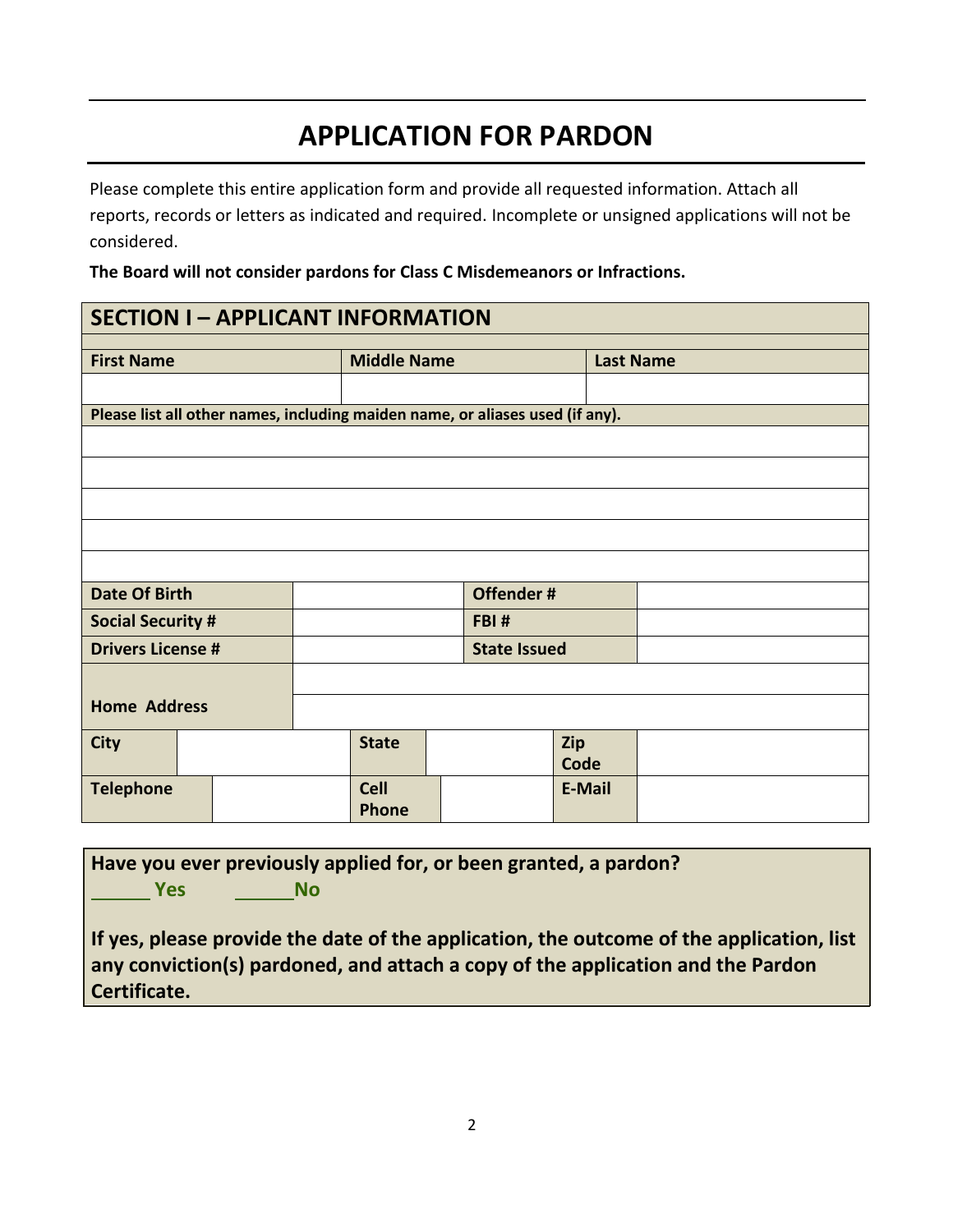# **APPLICATION FOR PARDON**

Please complete this entire application form and provide all requested information. Attach all reports, records or letters as indicated and required. Incomplete or unsigned applications will not be considered.

**The Board will not consider pardons for Class C Misdemeanors or Infractions.**

### **SECTION I – APPLICANT INFORMATION**

| <b>First Name</b>                                                             |  |  | <b>Middle Name</b>  |  |  |        | <b>Last Name</b> |
|-------------------------------------------------------------------------------|--|--|---------------------|--|--|--------|------------------|
|                                                                               |  |  |                     |  |  |        |                  |
| Please list all other names, including maiden name, or aliases used (if any). |  |  |                     |  |  |        |                  |
|                                                                               |  |  |                     |  |  |        |                  |
|                                                                               |  |  |                     |  |  |        |                  |
|                                                                               |  |  |                     |  |  |        |                  |
|                                                                               |  |  |                     |  |  |        |                  |
|                                                                               |  |  |                     |  |  |        |                  |
| <b>Date Of Birth</b>                                                          |  |  | Offender#           |  |  |        |                  |
| <b>Social Security #</b>                                                      |  |  | FBI#                |  |  |        |                  |
| <b>Drivers License #</b>                                                      |  |  | <b>State Issued</b> |  |  |        |                  |
|                                                                               |  |  |                     |  |  |        |                  |
| <b>Home Address</b>                                                           |  |  |                     |  |  |        |                  |
| <b>City</b>                                                                   |  |  | <b>State</b>        |  |  | Zip    |                  |
|                                                                               |  |  |                     |  |  | Code   |                  |
| <b>Telephone</b>                                                              |  |  | <b>Cell</b>         |  |  | E-Mail |                  |
|                                                                               |  |  | <b>Phone</b>        |  |  |        |                  |

**Have you ever previously applied for, or been granted, a pardon? Yes No**

**If yes, please provide the date of the application, the outcome of the application, list any conviction(s) pardoned, and attach a copy of the application and the Pardon Certificate.**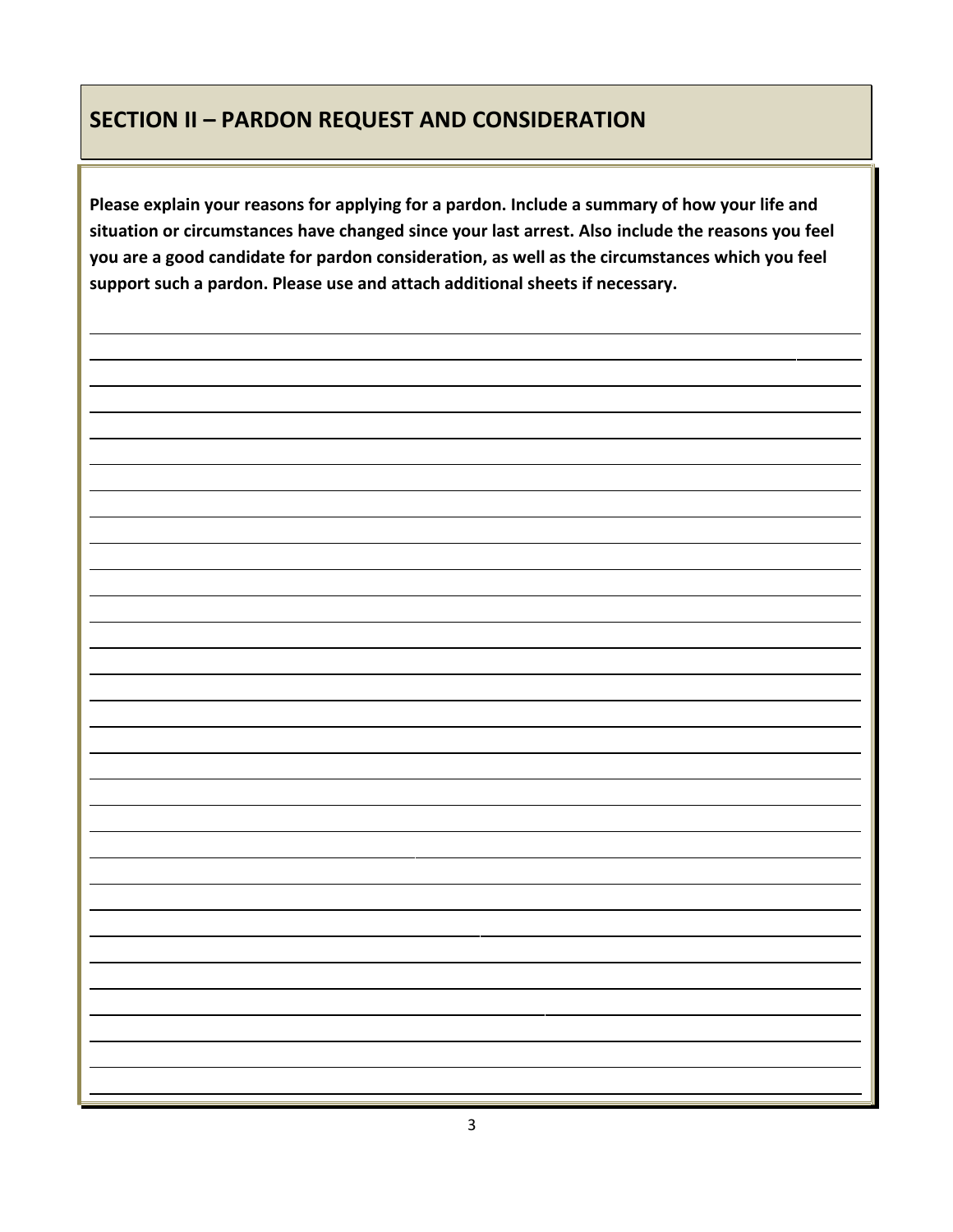### **SECTION II – PARDON REQUEST AND CONSIDERATION**

**Please explain your reasons for applying for a pardon. Include a summary of how your life and situation or circumstances have changed since your last arrest. Also include the reasons you feel you are a good candidate for pardon consideration, as well as the circumstances which you feel support such a pardon. Please use and attach additional sheets if necessary.**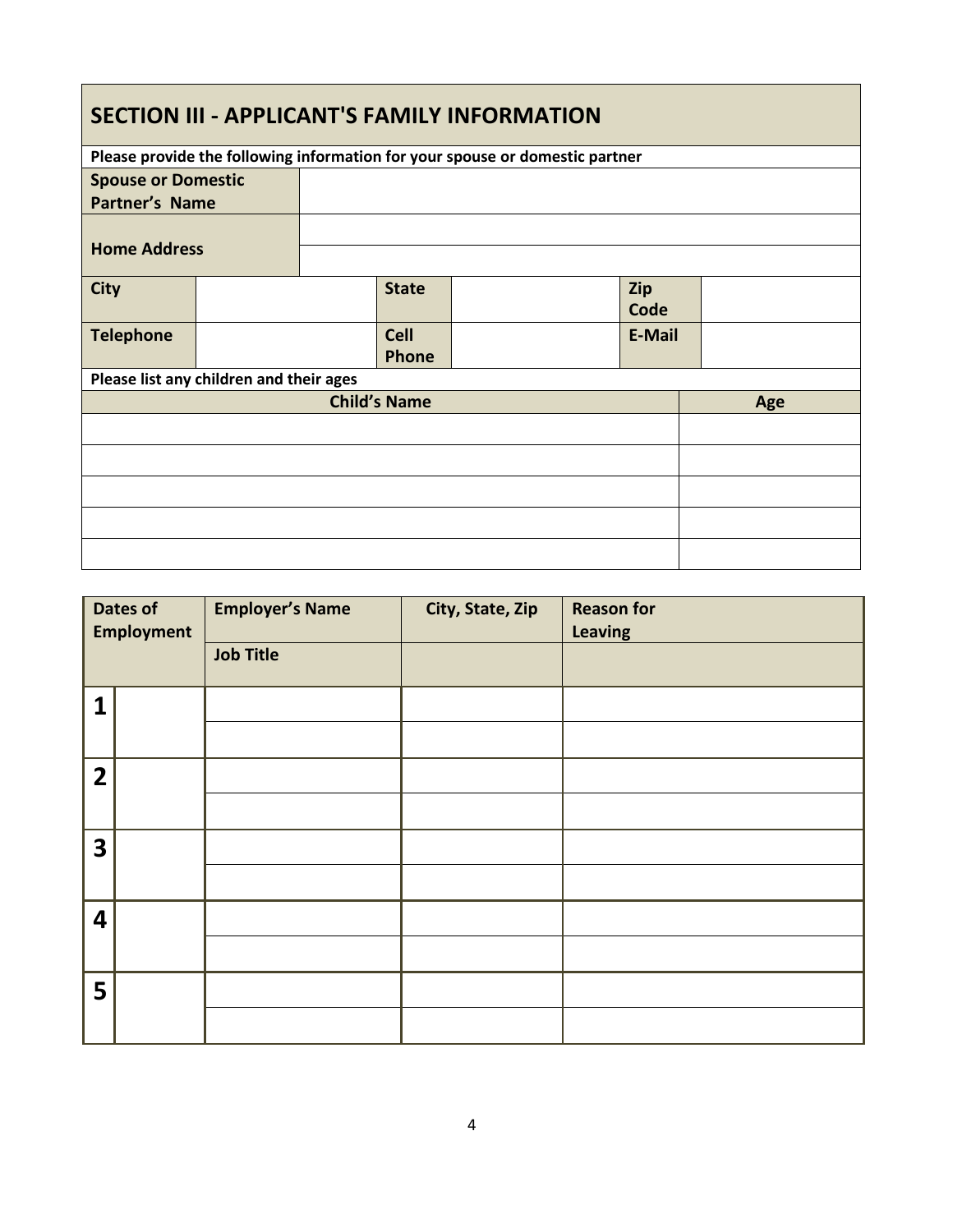### **SECTION III - APPLICANT'S FAMILY INFORMATION**

|                                         | Please provide the following information for your spouse or domestic partner |  |                     |  |               |  |
|-----------------------------------------|------------------------------------------------------------------------------|--|---------------------|--|---------------|--|
| <b>Spouse or Domestic</b>               |                                                                              |  |                     |  |               |  |
| <b>Partner's Name</b>                   |                                                                              |  |                     |  |               |  |
|                                         |                                                                              |  |                     |  |               |  |
| <b>Home Address</b>                     |                                                                              |  |                     |  |               |  |
|                                         |                                                                              |  |                     |  |               |  |
| <b>City</b>                             |                                                                              |  | <b>State</b>        |  | Zip           |  |
|                                         |                                                                              |  |                     |  | Code          |  |
| <b>Telephone</b>                        |                                                                              |  | <b>Cell</b>         |  | <b>E-Mail</b> |  |
|                                         |                                                                              |  | Phone               |  |               |  |
| Please list any children and their ages |                                                                              |  |                     |  |               |  |
|                                         |                                                                              |  | <b>Child's Name</b> |  | Age           |  |
|                                         |                                                                              |  |                     |  |               |  |
|                                         |                                                                              |  |                     |  |               |  |
|                                         |                                                                              |  |                     |  |               |  |
|                                         |                                                                              |  |                     |  |               |  |
|                                         |                                                                              |  |                     |  |               |  |
|                                         |                                                                              |  |                     |  |               |  |

|                         | <b>Dates of</b><br><b>Employment</b> | <b>Employer's Name</b><br><b>Job Title</b> | City, State, Zip | <b>Reason for</b><br><b>Leaving</b> |
|-------------------------|--------------------------------------|--------------------------------------------|------------------|-------------------------------------|
| 1                       |                                      |                                            |                  |                                     |
| $\overline{2}$          |                                      |                                            |                  |                                     |
| $\overline{\mathbf{3}}$ |                                      |                                            |                  |                                     |
| $\overline{\mathbf{4}}$ |                                      |                                            |                  |                                     |
| 5                       |                                      |                                            |                  |                                     |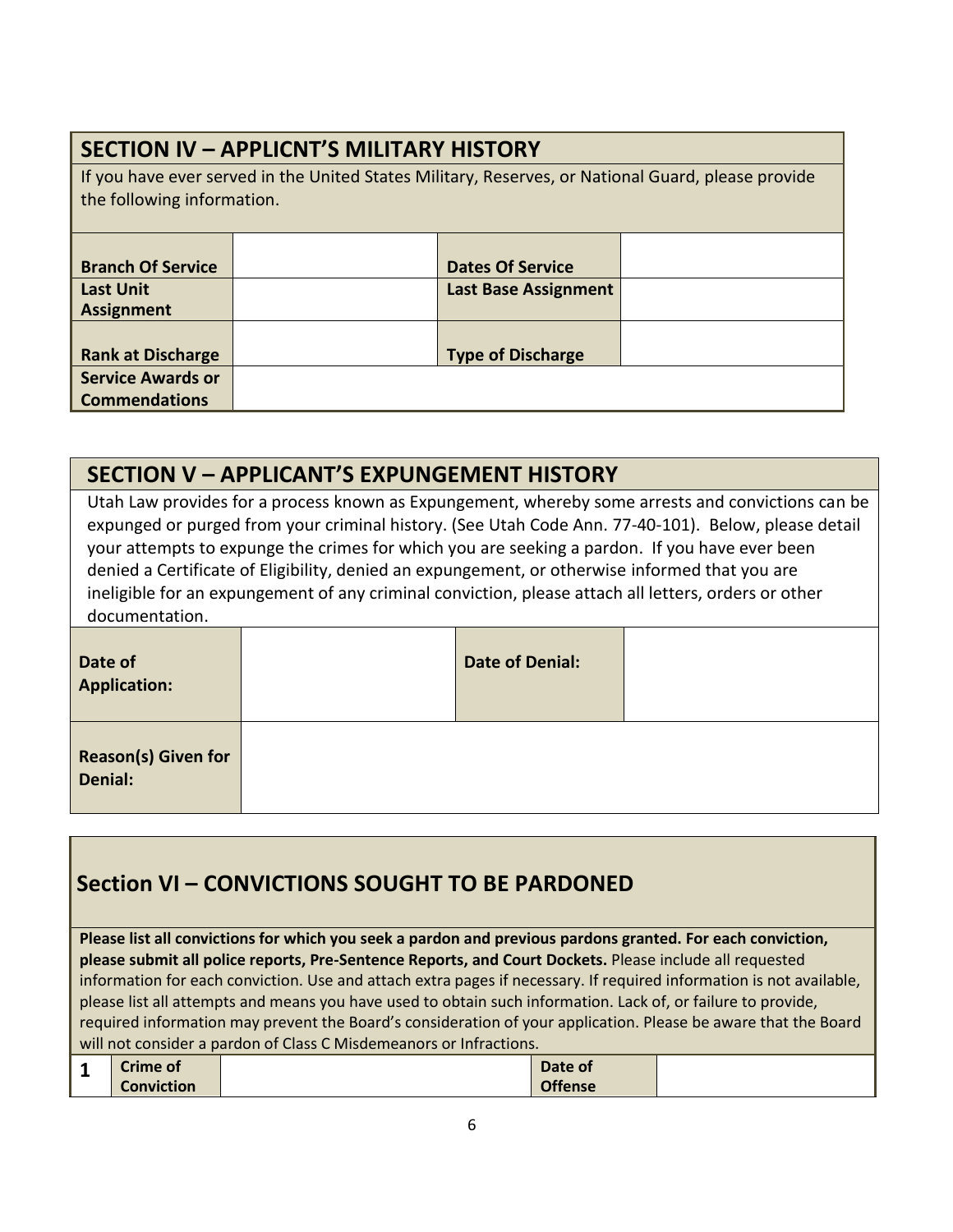| <b>SECTION IV - APPLICNT'S MILITARY HISTORY</b>                                                                                  |  |                                                        |  |  |  |
|----------------------------------------------------------------------------------------------------------------------------------|--|--------------------------------------------------------|--|--|--|
| If you have ever served in the United States Military, Reserves, or National Guard, please provide<br>the following information. |  |                                                        |  |  |  |
| <b>Branch Of Service</b><br><b>Last Unit</b><br><b>Assignment</b>                                                                |  | <b>Dates Of Service</b><br><b>Last Base Assignment</b> |  |  |  |
| <b>Rank at Discharge</b><br><b>Service Awards or</b><br><b>Commendations</b>                                                     |  | <b>Type of Discharge</b>                               |  |  |  |

### **SECTION V – APPLICANT'S EXPUNGEMENT HISTORY**

Utah Law provides for a process known as Expungement, whereby some arrests and convictions can be expunged or purged from your criminal history. (See Utah Code Ann. 77-40-101). Below, please detail your attempts to expunge the crimes for which you are seeking a pardon. If you have ever been denied a Certificate of Eligibility, denied an expungement, or otherwise informed that you are ineligible for an expungement of any criminal conviction, please attach all letters, orders or other documentation.

| Date of<br><b>Application:</b>        | <b>Date of Denial:</b> |  |
|---------------------------------------|------------------------|--|
| <b>Reason(s) Given for</b><br>Denial: |                        |  |

## **Section VI – CONVICTIONS SOUGHT TO BE PARDONED**

**Please list all convictions for which you seek a pardon and previous pardons granted. For each conviction, please submit all police reports, Pre-Sentence Reports, and Court Dockets.** Please include all requested information for each conviction. Use and attach extra pages if necessary. If required information is not available, please list all attempts and means you have used to obtain such information. Lack of, or failure to provide, required information may prevent the Board's consideration of your application. Please be aware that the Board will not consider a pardon of Class C Misdemeanors or Infractions.

| <b>Crime of</b>   | Date of        |  |
|-------------------|----------------|--|
| <b>Conviction</b> | <b>Offense</b> |  |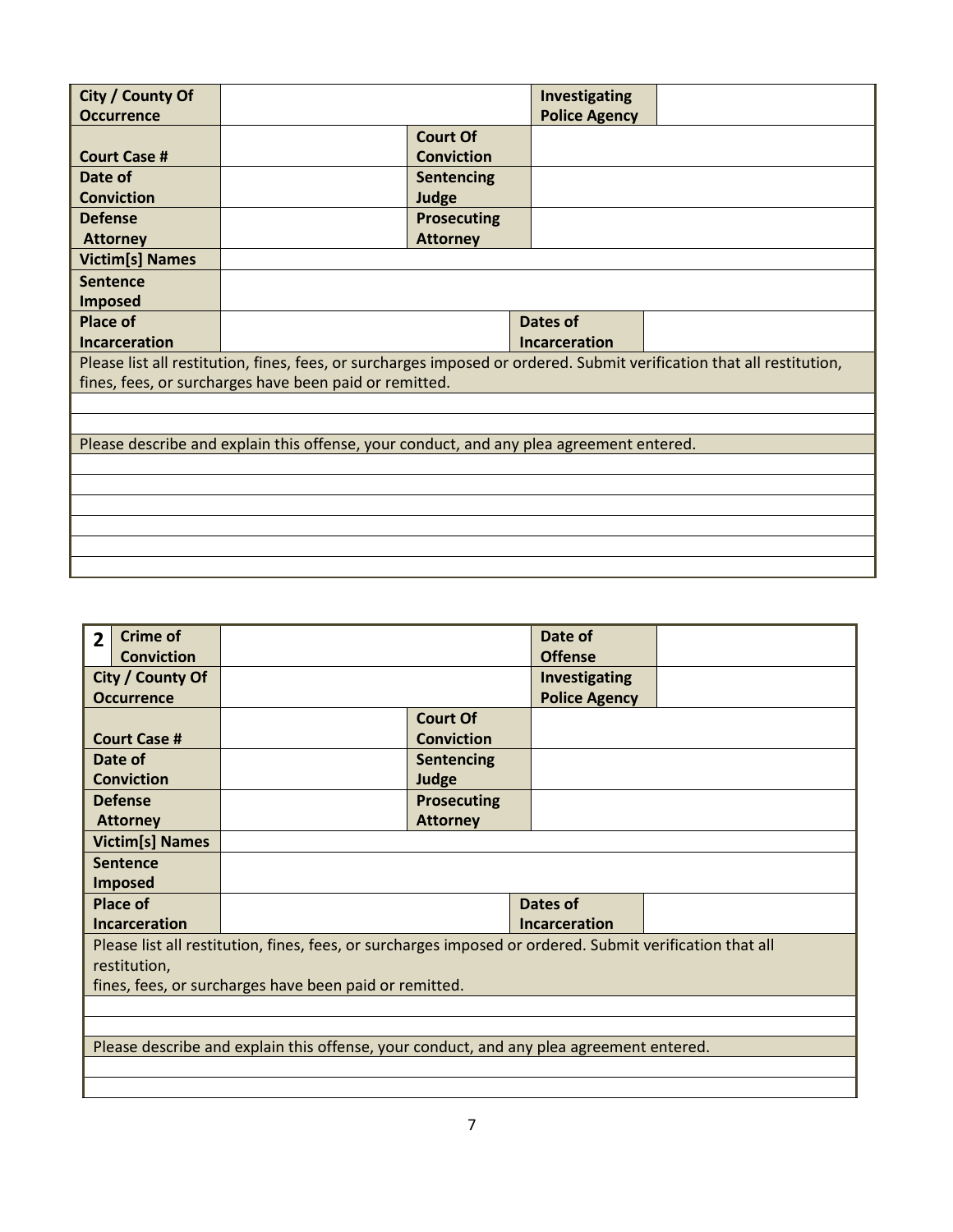| City / County Of       |                                                                                         |                    | Investigating        |                                                                                                                       |
|------------------------|-----------------------------------------------------------------------------------------|--------------------|----------------------|-----------------------------------------------------------------------------------------------------------------------|
| <b>Occurrence</b>      |                                                                                         |                    | <b>Police Agency</b> |                                                                                                                       |
|                        |                                                                                         | <b>Court Of</b>    |                      |                                                                                                                       |
| <b>Court Case #</b>    |                                                                                         | <b>Conviction</b>  |                      |                                                                                                                       |
| Date of                |                                                                                         | <b>Sentencing</b>  |                      |                                                                                                                       |
|                        |                                                                                         |                    |                      |                                                                                                                       |
| <b>Conviction</b>      |                                                                                         | Judge              |                      |                                                                                                                       |
| <b>Defense</b>         |                                                                                         | <b>Prosecuting</b> |                      |                                                                                                                       |
| <b>Attorney</b>        |                                                                                         | <b>Attorney</b>    |                      |                                                                                                                       |
| <b>Victim[s] Names</b> |                                                                                         |                    |                      |                                                                                                                       |
| <b>Sentence</b>        |                                                                                         |                    |                      |                                                                                                                       |
| <b>Imposed</b>         |                                                                                         |                    |                      |                                                                                                                       |
| <b>Place of</b>        |                                                                                         |                    | Dates of             |                                                                                                                       |
| <b>Incarceration</b>   |                                                                                         |                    |                      |                                                                                                                       |
|                        |                                                                                         |                    |                      |                                                                                                                       |
|                        |                                                                                         |                    | <b>Incarceration</b> |                                                                                                                       |
|                        |                                                                                         |                    |                      | Please list all restitution, fines, fees, or surcharges imposed or ordered. Submit verification that all restitution, |
|                        | fines, fees, or surcharges have been paid or remitted.                                  |                    |                      |                                                                                                                       |
|                        |                                                                                         |                    |                      |                                                                                                                       |
|                        |                                                                                         |                    |                      |                                                                                                                       |
|                        |                                                                                         |                    |                      |                                                                                                                       |
|                        | Please describe and explain this offense, your conduct, and any plea agreement entered. |                    |                      |                                                                                                                       |
|                        |                                                                                         |                    |                      |                                                                                                                       |
|                        |                                                                                         |                    |                      |                                                                                                                       |
|                        |                                                                                         |                    |                      |                                                                                                                       |
|                        |                                                                                         |                    |                      |                                                                                                                       |

| $\overline{2}$ | <b>Crime of</b>        |                                                                                                          |                    | Date of              |  |  |
|----------------|------------------------|----------------------------------------------------------------------------------------------------------|--------------------|----------------------|--|--|
|                | <b>Conviction</b>      |                                                                                                          |                    | <b>Offense</b>       |  |  |
|                | City / County Of       |                                                                                                          |                    | Investigating        |  |  |
|                | <b>Occurrence</b>      |                                                                                                          |                    | <b>Police Agency</b> |  |  |
|                |                        |                                                                                                          | <b>Court Of</b>    |                      |  |  |
|                | <b>Court Case #</b>    |                                                                                                          | <b>Conviction</b>  |                      |  |  |
|                | Date of                |                                                                                                          | <b>Sentencing</b>  |                      |  |  |
|                | <b>Conviction</b>      |                                                                                                          | Judge              |                      |  |  |
|                | <b>Defense</b>         |                                                                                                          | <b>Prosecuting</b> |                      |  |  |
|                | <b>Attorney</b>        |                                                                                                          | <b>Attorney</b>    |                      |  |  |
|                | <b>Victim[s] Names</b> |                                                                                                          |                    |                      |  |  |
|                | <b>Sentence</b>        |                                                                                                          |                    |                      |  |  |
|                | <b>Imposed</b>         |                                                                                                          |                    |                      |  |  |
|                | <b>Place of</b>        |                                                                                                          |                    | Dates of             |  |  |
|                | <b>Incarceration</b>   |                                                                                                          |                    | <b>Incarceration</b> |  |  |
|                |                        | Please list all restitution, fines, fees, or surcharges imposed or ordered. Submit verification that all |                    |                      |  |  |
|                | restitution,           |                                                                                                          |                    |                      |  |  |
|                |                        | fines, fees, or surcharges have been paid or remitted.                                                   |                    |                      |  |  |
|                |                        |                                                                                                          |                    |                      |  |  |
|                |                        |                                                                                                          |                    |                      |  |  |
|                |                        | Please describe and explain this offense, your conduct, and any plea agreement entered.                  |                    |                      |  |  |
|                |                        |                                                                                                          |                    |                      |  |  |
|                |                        |                                                                                                          |                    |                      |  |  |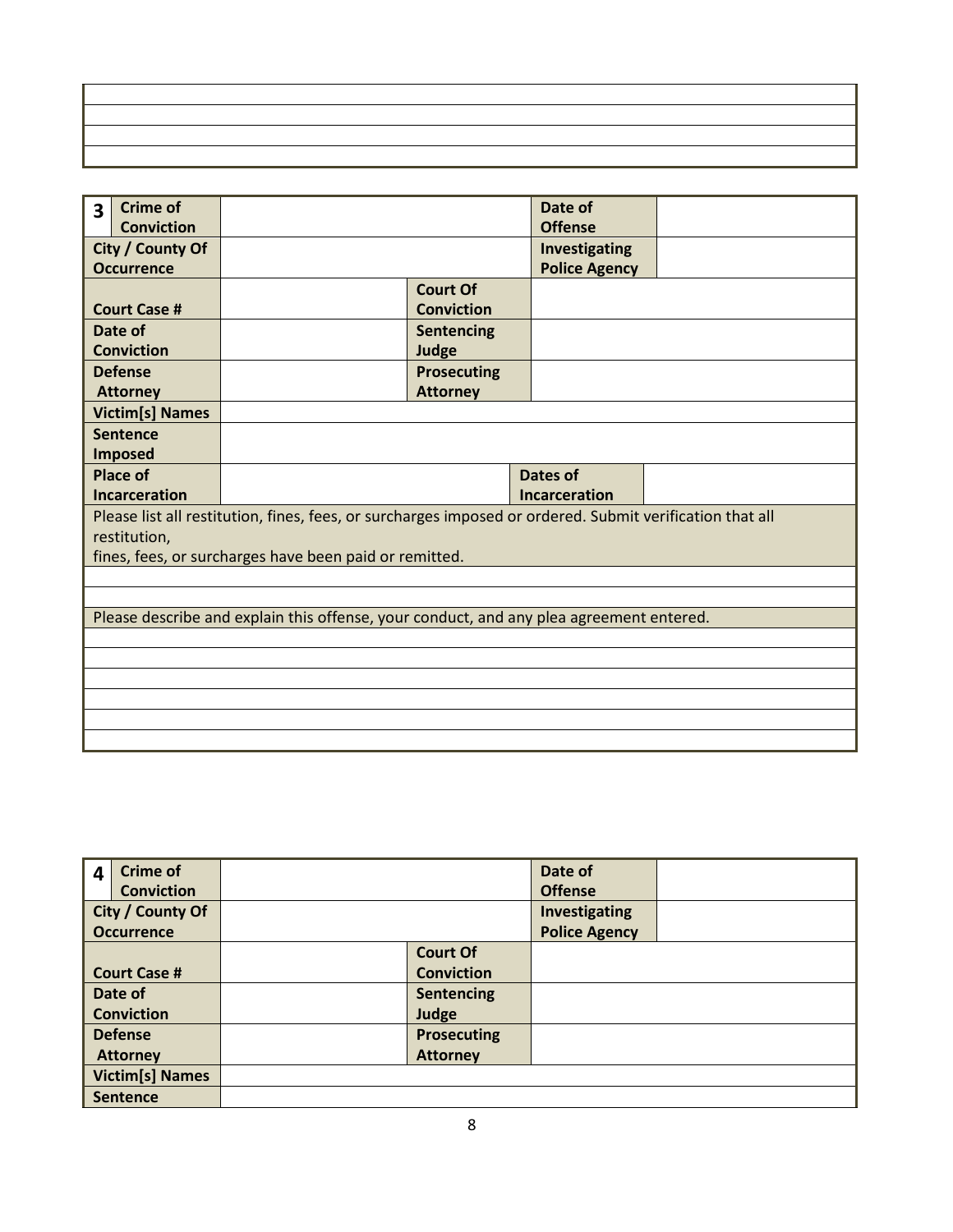| 3 | <b>Crime of</b>        |                                                                                                          |                    | Date of              |  |
|---|------------------------|----------------------------------------------------------------------------------------------------------|--------------------|----------------------|--|
|   | <b>Conviction</b>      |                                                                                                          |                    | <b>Offense</b>       |  |
|   | City / County Of       |                                                                                                          |                    | Investigating        |  |
|   | <b>Occurrence</b>      |                                                                                                          |                    | <b>Police Agency</b> |  |
|   |                        |                                                                                                          | <b>Court Of</b>    |                      |  |
|   | <b>Court Case #</b>    |                                                                                                          | <b>Conviction</b>  |                      |  |
|   | Date of                |                                                                                                          | <b>Sentencing</b>  |                      |  |
|   | <b>Conviction</b>      |                                                                                                          | Judge              |                      |  |
|   | <b>Defense</b>         |                                                                                                          | <b>Prosecuting</b> |                      |  |
|   | <b>Attorney</b>        |                                                                                                          | <b>Attorney</b>    |                      |  |
|   | <b>Victim[s] Names</b> |                                                                                                          |                    |                      |  |
|   | <b>Sentence</b>        |                                                                                                          |                    |                      |  |
|   | <b>Imposed</b>         |                                                                                                          |                    |                      |  |
|   | <b>Place of</b>        |                                                                                                          |                    | Dates of             |  |
|   | <b>Incarceration</b>   |                                                                                                          |                    | <b>Incarceration</b> |  |
|   |                        | Please list all restitution, fines, fees, or surcharges imposed or ordered. Submit verification that all |                    |                      |  |
|   | restitution,           |                                                                                                          |                    |                      |  |
|   |                        | fines, fees, or surcharges have been paid or remitted.                                                   |                    |                      |  |
|   |                        |                                                                                                          |                    |                      |  |
|   |                        |                                                                                                          |                    |                      |  |
|   |                        | Please describe and explain this offense, your conduct, and any plea agreement entered.                  |                    |                      |  |
|   |                        |                                                                                                          |                    |                      |  |
|   |                        |                                                                                                          |                    |                      |  |
|   |                        |                                                                                                          |                    |                      |  |
|   |                        |                                                                                                          |                    |                      |  |
|   |                        |                                                                                                          |                    |                      |  |
|   |                        |                                                                                                          |                    |                      |  |

| $\overline{\mathbf{4}}$ | <b>Crime of</b>        |                    | Date of              |  |
|-------------------------|------------------------|--------------------|----------------------|--|
|                         | <b>Conviction</b>      |                    | <b>Offense</b>       |  |
|                         | City / County Of       |                    | Investigating        |  |
|                         | <b>Occurrence</b>      |                    | <b>Police Agency</b> |  |
|                         |                        | <b>Court Of</b>    |                      |  |
|                         | <b>Court Case #</b>    | <b>Conviction</b>  |                      |  |
|                         | Date of                | Sentencing         |                      |  |
|                         | <b>Conviction</b>      | Judge              |                      |  |
|                         | <b>Defense</b>         | <b>Prosecuting</b> |                      |  |
|                         | <b>Attorney</b>        | <b>Attorney</b>    |                      |  |
|                         | <b>Victim[s] Names</b> |                    |                      |  |
|                         | <b>Sentence</b>        |                    |                      |  |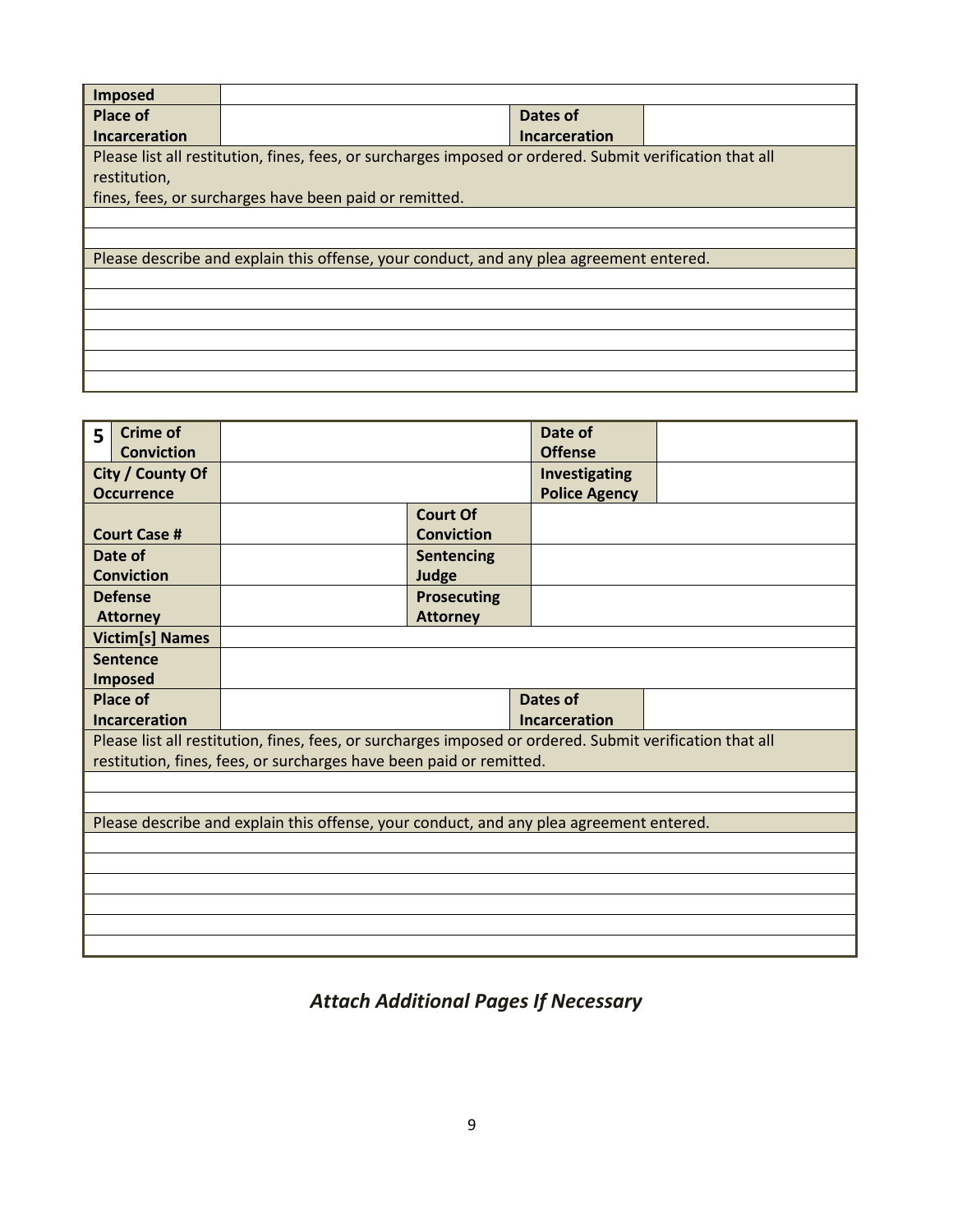| <b>Imposed</b>       |                                                                                                          |               |  |  |  |  |  |
|----------------------|----------------------------------------------------------------------------------------------------------|---------------|--|--|--|--|--|
| Place of             |                                                                                                          | Dates of      |  |  |  |  |  |
| <b>Incarceration</b> |                                                                                                          | Incarceration |  |  |  |  |  |
|                      | Please list all restitution, fines, fees, or surcharges imposed or ordered. Submit verification that all |               |  |  |  |  |  |
| restitution,         |                                                                                                          |               |  |  |  |  |  |
|                      | fines, fees, or surcharges have been paid or remitted.                                                   |               |  |  |  |  |  |
|                      |                                                                                                          |               |  |  |  |  |  |
|                      |                                                                                                          |               |  |  |  |  |  |
|                      | Please describe and explain this offense, your conduct, and any plea agreement entered.                  |               |  |  |  |  |  |
|                      |                                                                                                          |               |  |  |  |  |  |
|                      |                                                                                                          |               |  |  |  |  |  |
|                      |                                                                                                          |               |  |  |  |  |  |
|                      |                                                                                                          |               |  |  |  |  |  |
|                      |                                                                                                          |               |  |  |  |  |  |
|                      |                                                                                                          |               |  |  |  |  |  |

| 5                | <b>Crime of</b>                                                                         |                                                                                                          |                    | Date of              |  |  |  |  |
|------------------|-----------------------------------------------------------------------------------------|----------------------------------------------------------------------------------------------------------|--------------------|----------------------|--|--|--|--|
|                  | <b>Conviction</b>                                                                       |                                                                                                          |                    | <b>Offense</b>       |  |  |  |  |
| City / County Of |                                                                                         |                                                                                                          |                    | Investigating        |  |  |  |  |
|                  | <b>Occurrence</b>                                                                       |                                                                                                          |                    | <b>Police Agency</b> |  |  |  |  |
|                  |                                                                                         |                                                                                                          | <b>Court Of</b>    |                      |  |  |  |  |
|                  | <b>Court Case #</b>                                                                     |                                                                                                          | <b>Conviction</b>  |                      |  |  |  |  |
|                  | Date of                                                                                 |                                                                                                          | Sentencing         |                      |  |  |  |  |
|                  | <b>Conviction</b>                                                                       |                                                                                                          | Judge              |                      |  |  |  |  |
|                  | <b>Defense</b>                                                                          |                                                                                                          | <b>Prosecuting</b> |                      |  |  |  |  |
|                  | <b>Attorney</b>                                                                         |                                                                                                          | <b>Attorney</b>    |                      |  |  |  |  |
|                  | <b>Victim[s] Names</b>                                                                  |                                                                                                          |                    |                      |  |  |  |  |
|                  | <b>Sentence</b>                                                                         |                                                                                                          |                    |                      |  |  |  |  |
|                  | <b>Imposed</b>                                                                          |                                                                                                          |                    |                      |  |  |  |  |
|                  | <b>Place of</b>                                                                         |                                                                                                          |                    | <b>Dates of</b>      |  |  |  |  |
| Incarceration    |                                                                                         | <b>Incarceration</b>                                                                                     |                    |                      |  |  |  |  |
|                  |                                                                                         | Please list all restitution, fines, fees, or surcharges imposed or ordered. Submit verification that all |                    |                      |  |  |  |  |
|                  |                                                                                         | restitution, fines, fees, or surcharges have been paid or remitted.                                      |                    |                      |  |  |  |  |
|                  |                                                                                         |                                                                                                          |                    |                      |  |  |  |  |
|                  |                                                                                         |                                                                                                          |                    |                      |  |  |  |  |
|                  | Please describe and explain this offense, your conduct, and any plea agreement entered. |                                                                                                          |                    |                      |  |  |  |  |
|                  |                                                                                         |                                                                                                          |                    |                      |  |  |  |  |
|                  |                                                                                         |                                                                                                          |                    |                      |  |  |  |  |
|                  |                                                                                         |                                                                                                          |                    |                      |  |  |  |  |
|                  |                                                                                         |                                                                                                          |                    |                      |  |  |  |  |
|                  |                                                                                         |                                                                                                          |                    |                      |  |  |  |  |
|                  |                                                                                         |                                                                                                          |                    |                      |  |  |  |  |

*Attach Additional Pages If Necessary*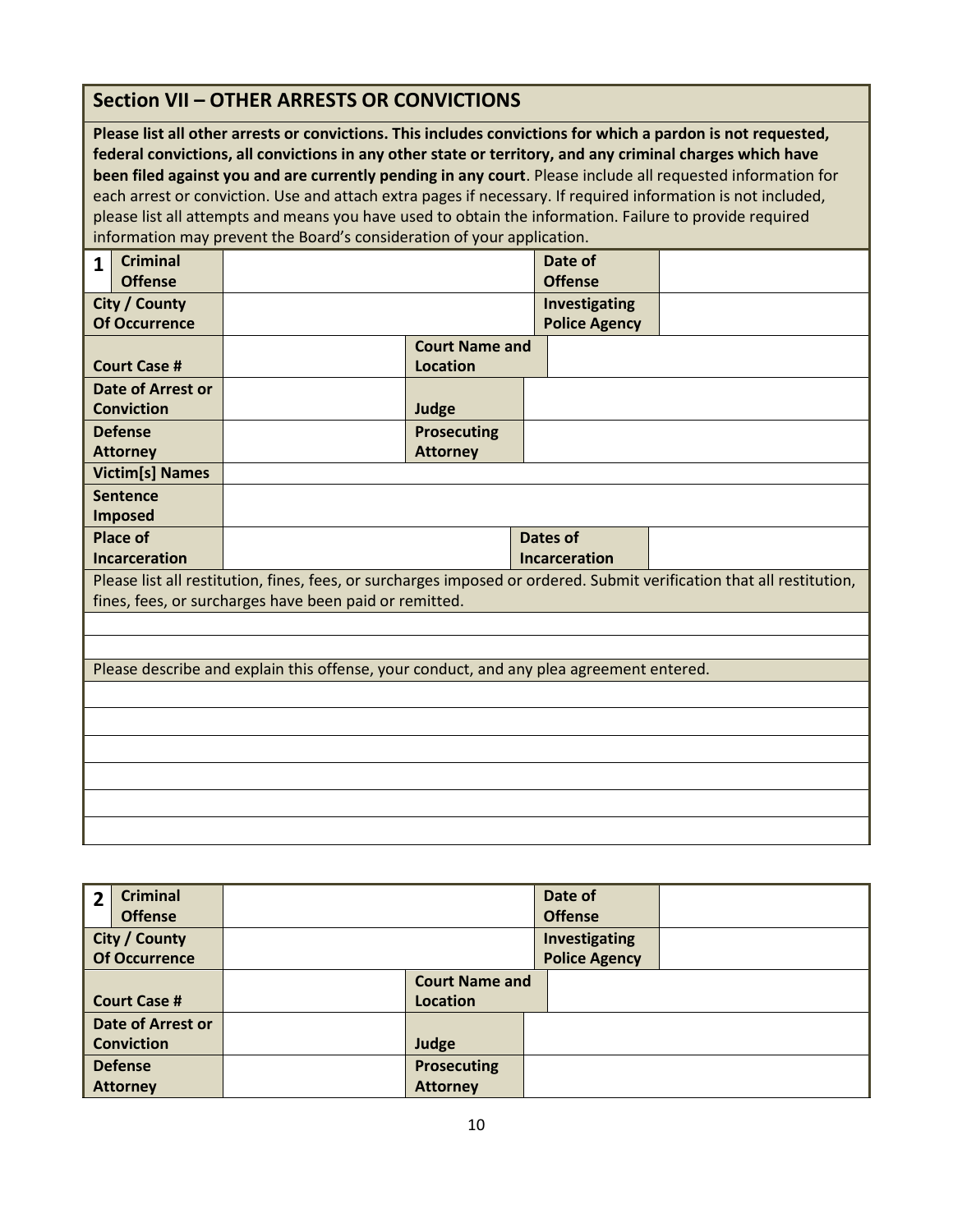|                                                                                                                                                                                                                                                                                                                                                                                                                                                                                                                                                                                                                                               | <b>Section VII - OTHER ARRESTS OR CONVICTIONS</b>      |                                          |                                         |                                                                                                                       |  |  |  |
|-----------------------------------------------------------------------------------------------------------------------------------------------------------------------------------------------------------------------------------------------------------------------------------------------------------------------------------------------------------------------------------------------------------------------------------------------------------------------------------------------------------------------------------------------------------------------------------------------------------------------------------------------|--------------------------------------------------------|------------------------------------------|-----------------------------------------|-----------------------------------------------------------------------------------------------------------------------|--|--|--|
| Please list all other arrests or convictions. This includes convictions for which a pardon is not requested,<br>federal convictions, all convictions in any other state or territory, and any criminal charges which have<br>been filed against you and are currently pending in any court. Please include all requested information for<br>each arrest or conviction. Use and attach extra pages if necessary. If required information is not included,<br>please list all attempts and means you have used to obtain the information. Failure to provide required<br>information may prevent the Board's consideration of your application. |                                                        |                                          |                                         |                                                                                                                       |  |  |  |
| <b>Criminal</b><br>$\mathbf{1}$<br><b>Offense</b>                                                                                                                                                                                                                                                                                                                                                                                                                                                                                                                                                                                             |                                                        |                                          | Date of<br><b>Offense</b>               |                                                                                                                       |  |  |  |
| <b>City / County</b><br><b>Of Occurrence</b>                                                                                                                                                                                                                                                                                                                                                                                                                                                                                                                                                                                                  |                                                        |                                          | Investigating<br><b>Police Agency</b>   |                                                                                                                       |  |  |  |
| <b>Court Case #</b>                                                                                                                                                                                                                                                                                                                                                                                                                                                                                                                                                                                                                           |                                                        | <b>Court Name and</b><br><b>Location</b> |                                         |                                                                                                                       |  |  |  |
| <b>Date of Arrest or</b><br><b>Conviction</b>                                                                                                                                                                                                                                                                                                                                                                                                                                                                                                                                                                                                 |                                                        | Judge                                    |                                         |                                                                                                                       |  |  |  |
| <b>Defense</b><br><b>Attorney</b>                                                                                                                                                                                                                                                                                                                                                                                                                                                                                                                                                                                                             |                                                        | <b>Prosecuting</b><br><b>Attorney</b>    |                                         |                                                                                                                       |  |  |  |
| <b>Victim[s] Names</b>                                                                                                                                                                                                                                                                                                                                                                                                                                                                                                                                                                                                                        |                                                        |                                          |                                         |                                                                                                                       |  |  |  |
| <b>Sentence</b><br><b>Imposed</b>                                                                                                                                                                                                                                                                                                                                                                                                                                                                                                                                                                                                             |                                                        |                                          |                                         |                                                                                                                       |  |  |  |
| <b>Place of</b><br><b>Incarceration</b>                                                                                                                                                                                                                                                                                                                                                                                                                                                                                                                                                                                                       |                                                        |                                          | <b>Dates of</b><br><b>Incarceration</b> |                                                                                                                       |  |  |  |
|                                                                                                                                                                                                                                                                                                                                                                                                                                                                                                                                                                                                                                               | fines, fees, or surcharges have been paid or remitted. |                                          |                                         | Please list all restitution, fines, fees, or surcharges imposed or ordered. Submit verification that all restitution, |  |  |  |
|                                                                                                                                                                                                                                                                                                                                                                                                                                                                                                                                                                                                                                               |                                                        |                                          |                                         |                                                                                                                       |  |  |  |
|                                                                                                                                                                                                                                                                                                                                                                                                                                                                                                                                                                                                                                               |                                                        |                                          |                                         |                                                                                                                       |  |  |  |
| Please describe and explain this offense, your conduct, and any plea agreement entered.                                                                                                                                                                                                                                                                                                                                                                                                                                                                                                                                                       |                                                        |                                          |                                         |                                                                                                                       |  |  |  |
|                                                                                                                                                                                                                                                                                                                                                                                                                                                                                                                                                                                                                                               |                                                        |                                          |                                         |                                                                                                                       |  |  |  |
|                                                                                                                                                                                                                                                                                                                                                                                                                                                                                                                                                                                                                                               |                                                        |                                          |                                         |                                                                                                                       |  |  |  |
|                                                                                                                                                                                                                                                                                                                                                                                                                                                                                                                                                                                                                                               |                                                        |                                          |                                         |                                                                                                                       |  |  |  |
|                                                                                                                                                                                                                                                                                                                                                                                                                                                                                                                                                                                                                                               |                                                        |                                          |                                         |                                                                                                                       |  |  |  |
|                                                                                                                                                                                                                                                                                                                                                                                                                                                                                                                                                                                                                                               |                                                        |                                          |                                         |                                                                                                                       |  |  |  |
|                                                                                                                                                                                                                                                                                                                                                                                                                                                                                                                                                                                                                                               |                                                        |                                          |                                         |                                                                                                                       |  |  |  |

| $\overline{2}$ | <b>Criminal</b><br><b>Offense</b><br>City / County |                       | Date of<br><b>Offense</b><br>Investigating |  |
|----------------|----------------------------------------------------|-----------------------|--------------------------------------------|--|
|                | <b>Of Occurrence</b>                               |                       | <b>Police Agency</b>                       |  |
|                |                                                    | <b>Court Name and</b> |                                            |  |
|                | <b>Court Case #</b>                                | <b>Location</b>       |                                            |  |
|                | <b>Date of Arrest or</b>                           |                       |                                            |  |
|                | <b>Conviction</b>                                  | Judge                 |                                            |  |
|                | <b>Defense</b>                                     | <b>Prosecuting</b>    |                                            |  |
|                | <b>Attorney</b>                                    | <b>Attorney</b>       |                                            |  |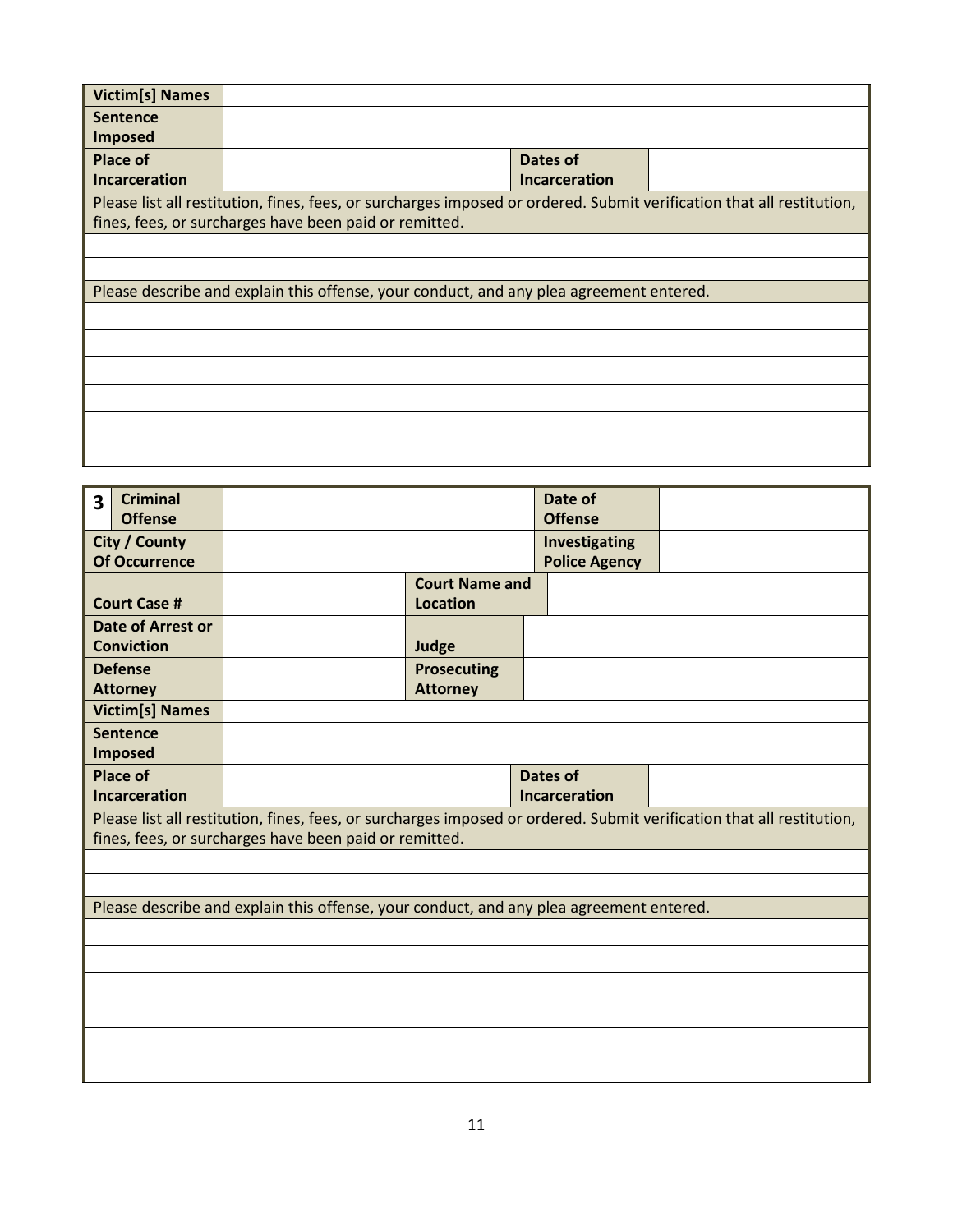| <b>Victim[s] Names</b> |                                                                                                                       |  |  |  |  |  |  |
|------------------------|-----------------------------------------------------------------------------------------------------------------------|--|--|--|--|--|--|
| <b>Sentence</b>        |                                                                                                                       |  |  |  |  |  |  |
| Imposed                |                                                                                                                       |  |  |  |  |  |  |
| <b>Place of</b>        | Dates of                                                                                                              |  |  |  |  |  |  |
| <b>Incarceration</b>   | Incarceration                                                                                                         |  |  |  |  |  |  |
|                        | Please list all restitution, fines, fees, or surcharges imposed or ordered. Submit verification that all restitution, |  |  |  |  |  |  |
|                        | fines, fees, or surcharges have been paid or remitted.                                                                |  |  |  |  |  |  |
|                        |                                                                                                                       |  |  |  |  |  |  |
|                        |                                                                                                                       |  |  |  |  |  |  |
|                        | Please describe and explain this offense, your conduct, and any plea agreement entered.                               |  |  |  |  |  |  |
|                        |                                                                                                                       |  |  |  |  |  |  |
|                        |                                                                                                                       |  |  |  |  |  |  |
|                        |                                                                                                                       |  |  |  |  |  |  |
|                        |                                                                                                                       |  |  |  |  |  |  |
|                        |                                                                                                                       |  |  |  |  |  |  |
|                        |                                                                                                                       |  |  |  |  |  |  |

| 3             | <b>Criminal</b><br><b>Offense</b> |                                                                                         |                       | Date of<br><b>Offense</b> |                                                                                                                       |  |  |
|---------------|-----------------------------------|-----------------------------------------------------------------------------------------|-----------------------|---------------------------|-----------------------------------------------------------------------------------------------------------------------|--|--|
| City / County |                                   |                                                                                         |                       | Investigating             |                                                                                                                       |  |  |
|               | <b>Of Occurrence</b>              |                                                                                         |                       | <b>Police Agency</b>      |                                                                                                                       |  |  |
|               |                                   |                                                                                         | <b>Court Name and</b> |                           |                                                                                                                       |  |  |
|               | <b>Court Case #</b>               |                                                                                         | <b>Location</b>       |                           |                                                                                                                       |  |  |
|               | Date of Arrest or                 |                                                                                         |                       |                           |                                                                                                                       |  |  |
|               | <b>Conviction</b>                 |                                                                                         | Judge                 |                           |                                                                                                                       |  |  |
|               | <b>Defense</b>                    |                                                                                         | <b>Prosecuting</b>    |                           |                                                                                                                       |  |  |
|               | <b>Attorney</b>                   |                                                                                         | <b>Attorney</b>       |                           |                                                                                                                       |  |  |
|               | <b>Victim[s] Names</b>            |                                                                                         |                       |                           |                                                                                                                       |  |  |
|               | <b>Sentence</b>                   |                                                                                         |                       |                           |                                                                                                                       |  |  |
|               | <b>Imposed</b>                    |                                                                                         |                       |                           |                                                                                                                       |  |  |
|               | <b>Place of</b>                   |                                                                                         |                       | <b>Dates of</b>           |                                                                                                                       |  |  |
|               | <b>Incarceration</b>              | <b>Incarceration</b>                                                                    |                       |                           |                                                                                                                       |  |  |
|               |                                   |                                                                                         |                       |                           | Please list all restitution, fines, fees, or surcharges imposed or ordered. Submit verification that all restitution, |  |  |
|               |                                   | fines, fees, or surcharges have been paid or remitted.                                  |                       |                           |                                                                                                                       |  |  |
|               |                                   |                                                                                         |                       |                           |                                                                                                                       |  |  |
|               |                                   |                                                                                         |                       |                           |                                                                                                                       |  |  |
|               |                                   | Please describe and explain this offense, your conduct, and any plea agreement entered. |                       |                           |                                                                                                                       |  |  |
|               |                                   |                                                                                         |                       |                           |                                                                                                                       |  |  |
|               |                                   |                                                                                         |                       |                           |                                                                                                                       |  |  |
|               |                                   |                                                                                         |                       |                           |                                                                                                                       |  |  |
|               |                                   |                                                                                         |                       |                           |                                                                                                                       |  |  |
|               |                                   |                                                                                         |                       |                           |                                                                                                                       |  |  |
|               |                                   |                                                                                         |                       |                           |                                                                                                                       |  |  |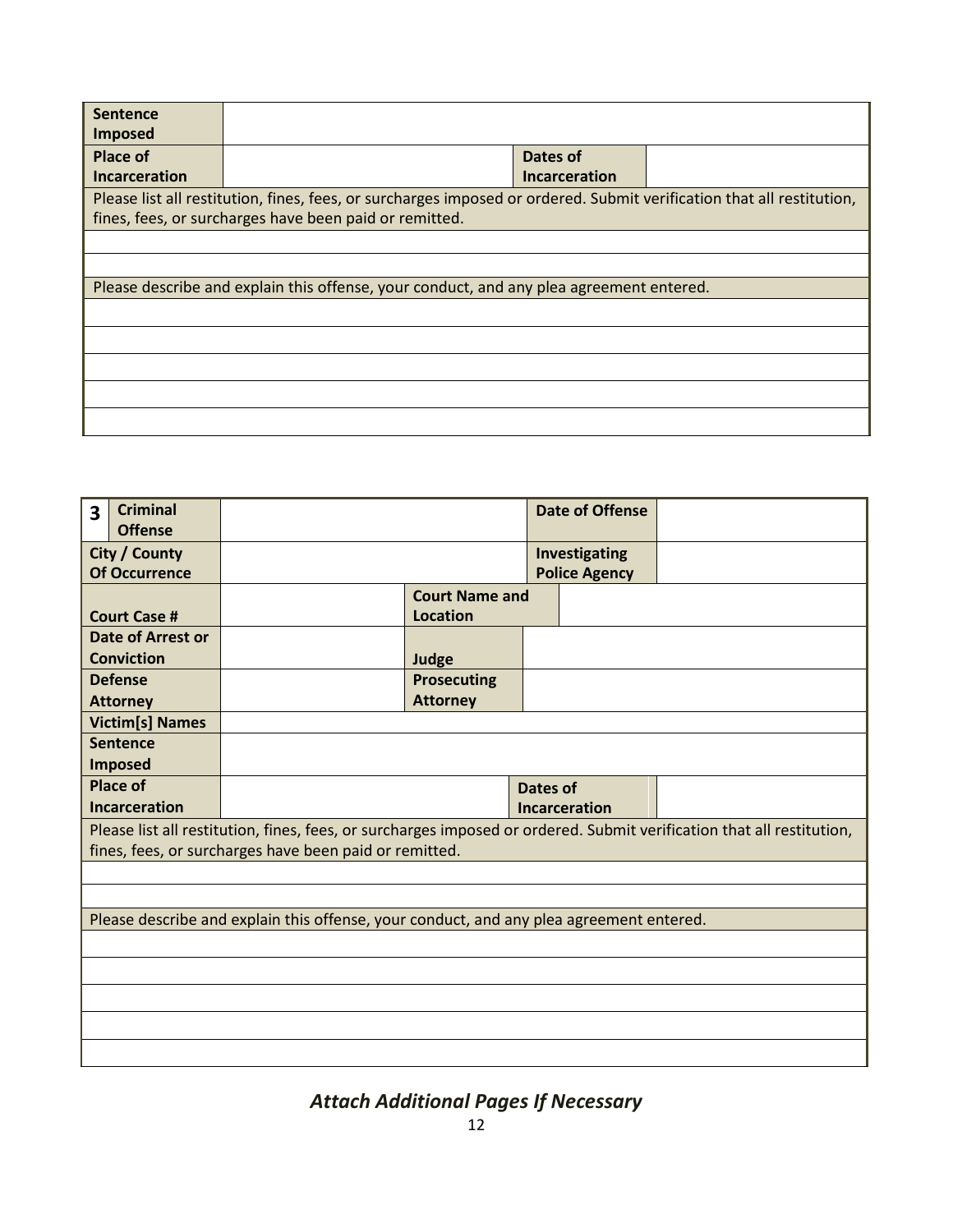| <b>Sentence</b>      |                                                                                                                       |                      |  |  |  |  |  |
|----------------------|-----------------------------------------------------------------------------------------------------------------------|----------------------|--|--|--|--|--|
| <b>Imposed</b>       |                                                                                                                       |                      |  |  |  |  |  |
| Place of             |                                                                                                                       | Dates of             |  |  |  |  |  |
|                      |                                                                                                                       |                      |  |  |  |  |  |
| <b>Incarceration</b> |                                                                                                                       | <b>Incarceration</b> |  |  |  |  |  |
|                      | Please list all restitution, fines, fees, or surcharges imposed or ordered. Submit verification that all restitution, |                      |  |  |  |  |  |
|                      | fines, fees, or surcharges have been paid or remitted.                                                                |                      |  |  |  |  |  |
|                      |                                                                                                                       |                      |  |  |  |  |  |
|                      |                                                                                                                       |                      |  |  |  |  |  |
|                      | Please describe and explain this offense, your conduct, and any plea agreement entered.                               |                      |  |  |  |  |  |
|                      |                                                                                                                       |                      |  |  |  |  |  |
|                      |                                                                                                                       |                      |  |  |  |  |  |
|                      |                                                                                                                       |                      |  |  |  |  |  |
|                      |                                                                                                                       |                      |  |  |  |  |  |
|                      |                                                                                                                       |                      |  |  |  |  |  |

| 3                                                        | <b>Criminal</b><br><b>Offense</b>             |                                                                                         |                             |                      | <b>Date of Offense</b>                |                                                                                                                       |  |
|----------------------------------------------------------|-----------------------------------------------|-----------------------------------------------------------------------------------------|-----------------------------|----------------------|---------------------------------------|-----------------------------------------------------------------------------------------------------------------------|--|
| City / County<br><b>Of Occurrence</b>                    |                                               |                                                                                         |                             |                      | Investigating<br><b>Police Agency</b> |                                                                                                                       |  |
| <b>Court Name and</b><br>Location<br><b>Court Case #</b> |                                               |                                                                                         |                             |                      |                                       |                                                                                                                       |  |
|                                                          | <b>Date of Arrest or</b><br><b>Conviction</b> |                                                                                         |                             |                      |                                       |                                                                                                                       |  |
|                                                          | <b>Defense</b>                                |                                                                                         | Judge<br><b>Prosecuting</b> |                      |                                       |                                                                                                                       |  |
|                                                          | <b>Attorney</b>                               |                                                                                         | <b>Attorney</b>             |                      |                                       |                                                                                                                       |  |
|                                                          | <b>Victim[s] Names</b>                        |                                                                                         |                             |                      |                                       |                                                                                                                       |  |
|                                                          | <b>Sentence</b>                               |                                                                                         |                             |                      |                                       |                                                                                                                       |  |
|                                                          | <b>Imposed</b>                                |                                                                                         |                             |                      |                                       |                                                                                                                       |  |
|                                                          | <b>Place of</b>                               |                                                                                         |                             | <b>Dates of</b>      |                                       |                                                                                                                       |  |
|                                                          | <b>Incarceration</b>                          |                                                                                         |                             | <b>Incarceration</b> |                                       |                                                                                                                       |  |
|                                                          |                                               |                                                                                         |                             |                      |                                       | Please list all restitution, fines, fees, or surcharges imposed or ordered. Submit verification that all restitution, |  |
|                                                          |                                               | fines, fees, or surcharges have been paid or remitted.                                  |                             |                      |                                       |                                                                                                                       |  |
|                                                          |                                               |                                                                                         |                             |                      |                                       |                                                                                                                       |  |
|                                                          |                                               |                                                                                         |                             |                      |                                       |                                                                                                                       |  |
|                                                          |                                               | Please describe and explain this offense, your conduct, and any plea agreement entered. |                             |                      |                                       |                                                                                                                       |  |
|                                                          |                                               |                                                                                         |                             |                      |                                       |                                                                                                                       |  |
|                                                          |                                               |                                                                                         |                             |                      |                                       |                                                                                                                       |  |
|                                                          |                                               |                                                                                         |                             |                      |                                       |                                                                                                                       |  |
|                                                          |                                               |                                                                                         |                             |                      |                                       |                                                                                                                       |  |
|                                                          |                                               |                                                                                         |                             |                      |                                       |                                                                                                                       |  |
|                                                          |                                               |                                                                                         |                             |                      |                                       |                                                                                                                       |  |

*Attach Additional Pages If Necessary*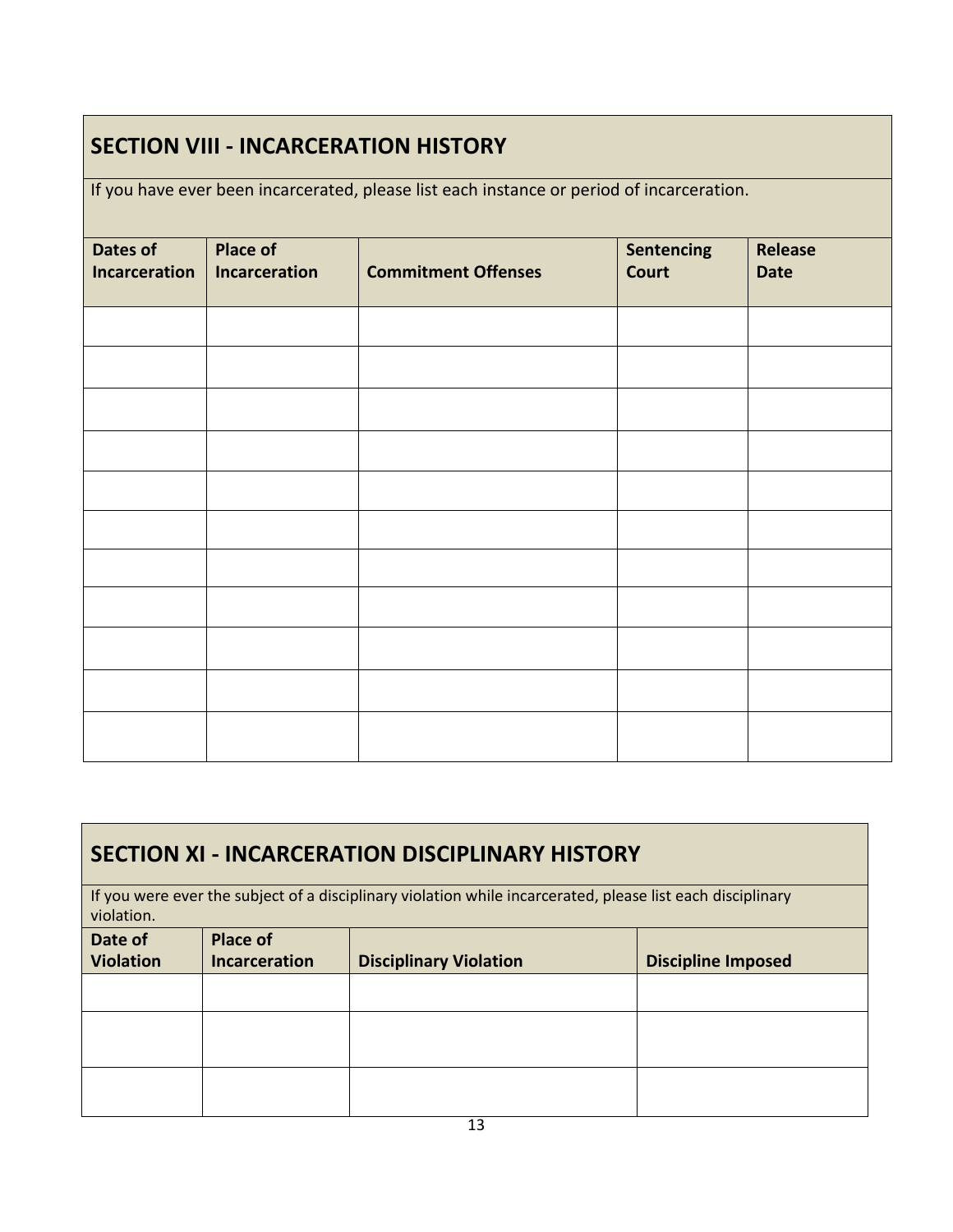### **SECTION VIII - INCARCERATION HISTORY**

If you have ever been incarcerated, please list each instance or period of incarceration.

| Dates of<br><b>Incarceration</b> | <b>Place of</b><br><b>Incarceration</b> | <b>Commitment Offenses</b> | <b>Sentencing</b><br><b>Court</b> | <b>Release</b><br><b>Date</b> |  |  |  |
|----------------------------------|-----------------------------------------|----------------------------|-----------------------------------|-------------------------------|--|--|--|
|                                  |                                         |                            |                                   |                               |  |  |  |
|                                  |                                         |                            |                                   |                               |  |  |  |
|                                  |                                         |                            |                                   |                               |  |  |  |
|                                  |                                         |                            |                                   |                               |  |  |  |
|                                  |                                         |                            |                                   |                               |  |  |  |
|                                  |                                         |                            |                                   |                               |  |  |  |
|                                  |                                         |                            |                                   |                               |  |  |  |
|                                  |                                         |                            |                                   |                               |  |  |  |
|                                  |                                         |                            |                                   |                               |  |  |  |
|                                  |                                         |                            |                                   |                               |  |  |  |
|                                  |                                         |                            |                                   |                               |  |  |  |
|                                  |                                         |                            |                                   |                               |  |  |  |

### **SECTION XI - INCARCERATION DISCIPLINARY HISTORY**

If you were ever the subject of a disciplinary violation while incarcerated, please list each disciplinary violation.

| Date of<br><b>Violation</b> | <b>Place of</b><br>Incarceration | <b>Disciplinary Violation</b> | <b>Discipline Imposed</b> |  |  |  |
|-----------------------------|----------------------------------|-------------------------------|---------------------------|--|--|--|
|                             |                                  |                               |                           |  |  |  |
|                             |                                  |                               |                           |  |  |  |
|                             |                                  |                               |                           |  |  |  |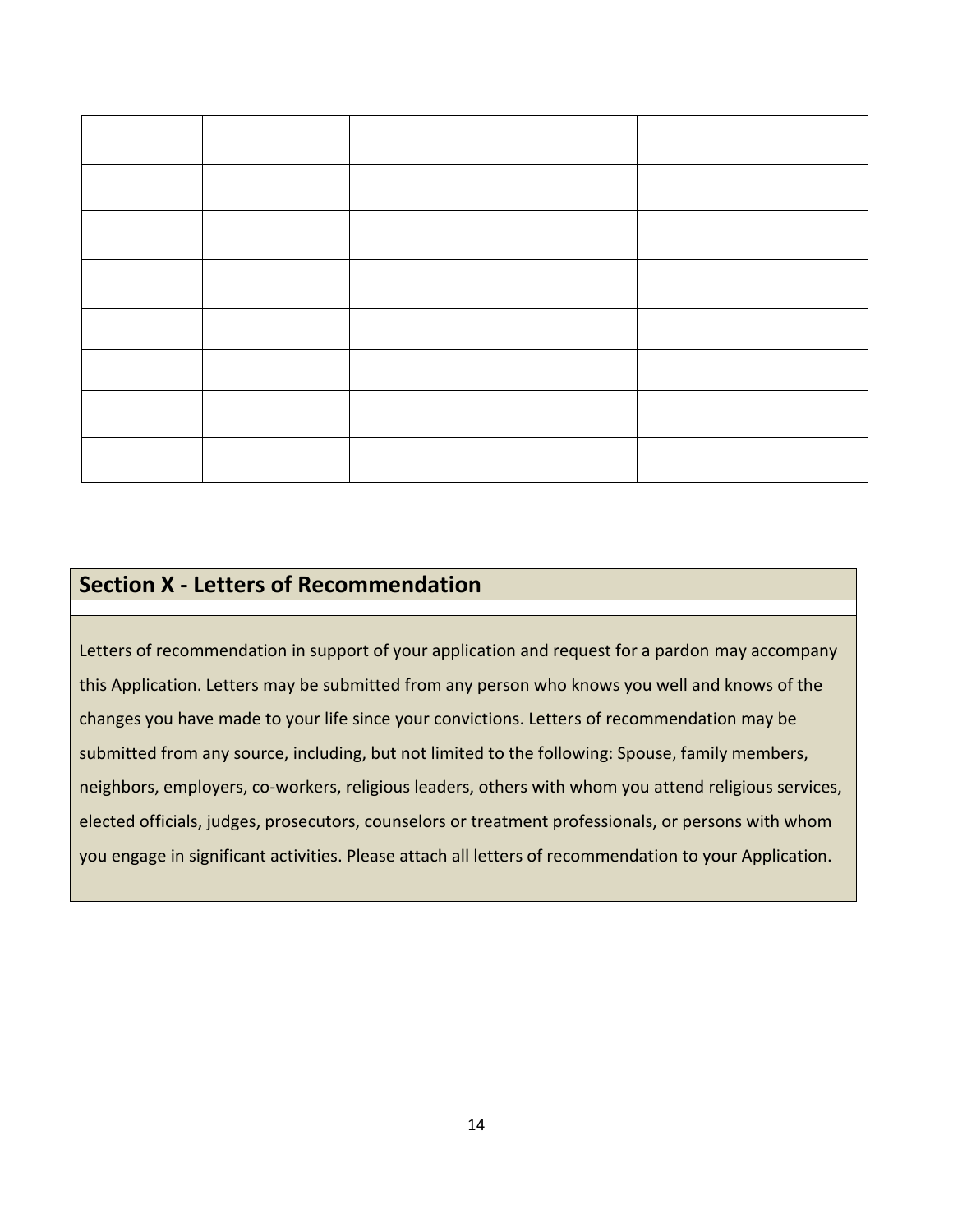## **Section X - Letters of Recommendation**

Letters of recommendation in support of your application and request for a pardon may accompany this Application. Letters may be submitted from any person who knows you well and knows of the changes you have made to your life since your convictions. Letters of recommendation may be submitted from any source, including, but not limited to the following: Spouse, family members, neighbors, employers, co-workers, religious leaders, others with whom you attend religious services, elected officials, judges, prosecutors, counselors or treatment professionals, or persons with whom you engage in significant activities. Please attach all letters of recommendation to your Application.